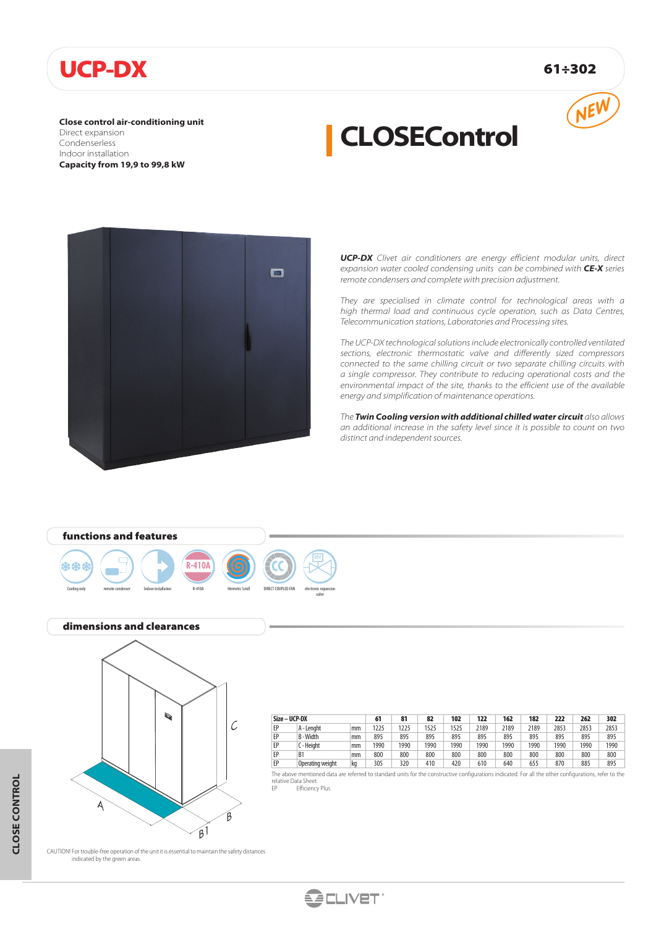# UCP-DX 61÷302

**Close control air-conditioning unit** Direct expansion Condenserless Indoor installation **Capacity from 19,9 to 99,8 kW**



# **CLOSEControl**



*UCP-DX Clivet air conditioners are energy efficient modular units, direct expansion water cooled condensing units can be combined with CE-X series remote condensers and complete with precision adjustment.*

*They are specialised in climate control for technological areas with a high thermal load and continuous cycle operation, such as Data Centres, Telecommunication stations, Laboratories and Processing sites.*

*The UCP-DX technological solutions include electronically controlled ventilated sections, electronic thermostatic valve and differently sized compressors connected to the same chilling circuit or two separate chilling circuits with a single compressor. They contribute to reducing operational costs and the environmental impact of the site, thanks to the efficient use of the available energy and simplification of maintenance operations.*

*The Twin Cooling version with additional chilled water circuit also allows an additional increase in the safety level since it is possible to count on two distinct and independent sources.*

# functions and features





### dimensions and clearances



| Size - UCP-DX |                  |    | 61   | 81   | 82   | 102  | 122  | 162  | 182  | 222  | 262  | 302  |
|---------------|------------------|----|------|------|------|------|------|------|------|------|------|------|
| EP            | A - Lenaht       | mm | 225  | 1225 | 1525 | 1525 | 2189 | 2189 | 2189 | 2853 | 2853 | 2853 |
| EP            | B-Width          | mm | 895  | 895  | 895  | 895  | 895  | 895  | 895  | 895  | 895  | 895  |
| EP            | C - Height       | mm | 1990 | 1990 | 1990 | 1990 | 1990 | 1990 | 1990 | 1990 | 1990 | 1990 |
| EP            | B <sub>1</sub>   | mm | 800  | 800  | 800  | 800  | 800  | 800  | 800  | 800  | 800  | 800  |
| EP            | Operating weight | kg | 305  | 320  | 410  | 420  | 610  | 640  | 655  | 870  | 885  | 895  |

The above mentioned data are referred to standard units for the constructive configurations indicated. For all the other configurations, refer to the relative Data Sheet. EP Efficiency Plus

CAUTION! For trouble-free operation of the unit it is essential to maintain the safety distances indicated by the green areas.





valve